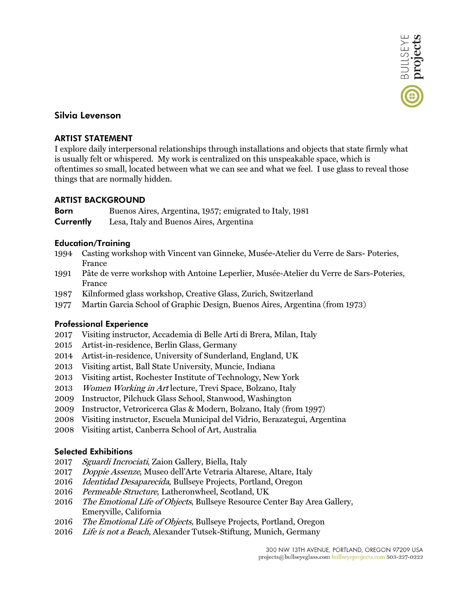# **Silvia Levenson**

#### **ARTIST STATEMENT**

I explore daily interpersonal relationships through installations and objects that state firmly what is usually felt or whispered. My work is centralized on this unspeakable space, which is oftentimes so small, located between what we can see and what we feel. I use glass to reveal those things that are normally hidden.

## **ARTIST BACKGROUND**

**Born** Buenos Aires, Argentina, 1957; emigrated to Italy, 1981

**Currently** Lesa, Italy and Buenos Aires, Argentina

## **Education/Training**

- 1994 Casting workshop with Vincent van Ginneke, Musée-Atelier du Verre de Sars- Poteries, France
- 1991 Pâte de verre workshop with Antoine Leperlier, Musée-Atelier du Verre de Sars-Poteries, France
- 1987 Kilnformed glass workshop, Creative Glass, Zurich, Switzerland
- 1977 Martin Garcia School of Graphic Design, Buenos Aires, Argentina (from 1973)

## **Professional Experience**

- 2017 Visiting instructor, Accademia di Belle Arti di Brera, Milan, Italy
- 2015 Artist-in-residence, Berlin Glass, Germany
- 2014 Artist-in-residence, University of Sunderland, England, UK
- 2013 Visiting artist, Ball State University, Muncie, Indiana
- 2013 Visiting artist, Rochester Institute of Technology, New York
- 2013 Women Working in Art lecture, Trevi Space, Bolzano, Italy
- 2009 Instructor, Pilchuck Glass School, Stanwood, Washington
- 2009 Instructor, Vetroricerca Glas & Modern, Bolzano, Italy (from 1997)
- 2008 Visiting instructor, Escuela Municipal del Vidrio, Berazategui, Argentina
- 2008 Visiting artist, Canberra School of Art, Australia

#### **Selected Exhibitions**

- 2017 Sguardi Incrociati, Zaion Gallery, Biella, Italy
- 2017 Doppie Assenze, Museo dell'Arte Vetraria Altarese, Altare, Italy
- 2016 Identidad Desaparecida, Bullseye Projects, Portland, Oregon
- 2016 Permeable Structure, Latheronwheel, Scotland, UK
- 2016 The Emotional Life of Objects, Bullseye Resource Center Bay Area Gallery, Emeryville, California
- 2016 The Emotional Life of Objects, Bullseye Projects, Portland, Oregon
- 2016 Life is not a Beach, Alexander Tutsek-Stiftung, Munich, Germany